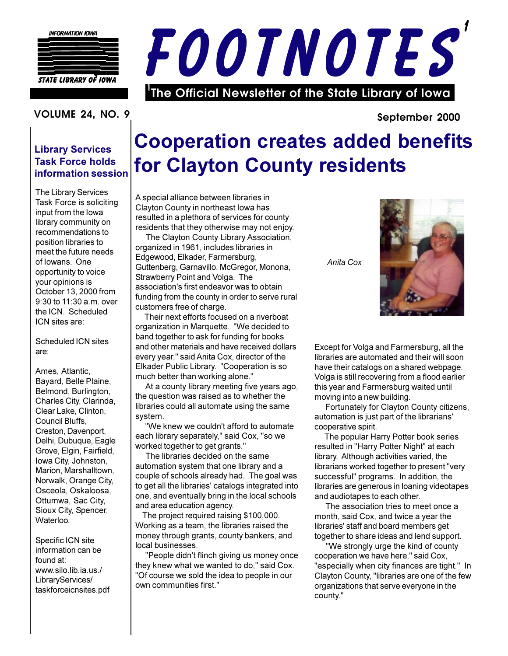

**STATE LIBRARY OF IOWA** 



#### **VOLUME 24. NO. 9**

#### **Library Services Task Force holds** information session

The Library Services Task Force is soliciting input from the lowa library community on recommendations to position libraries to meet the future needs of Iowans. One opportunity to voice your opinions is October 13, 2000 from  $9:30$  to 11:30 a.m. over the ICN. Scheduled ICN sites are:

Scheduled ICN sites are:

Ames. Atlantic. Bayard, Belle Plaine, Belmond, Burlington, Charles City, Clarinda, Clear Lake, Clinton, Council Bluffs. Creston, Davenport, Delhi, Dubuque, Eagle Grove, Elgin, Fairfield, Iowa City, Johnston, Marion, Marshalltown. Norwalk, Orange City, Osceola, Oskaloosa, Ottumwa, Sac City, Sioux City, Spencer, Waterloo.

Specific ICN site information can be found at: www.silo.lib.ia.us./ LibraryServices/ taskforceicnsites.pdf

## **Cooperation creates added benefits** for Clayton County residents

A special alliance between libraries in Clayton County in northeast lowa has resulted in a plethora of services for county residents that they otherwise may not enjoy.

The Clayton County Library Association, organized in 1961, includes libraries in Edgewood, Elkader, Farmersburg, Guttenberg, Garnavillo, McGregor, Monona, Strawberry Point and Volga. The association's first endeavor was to obtain funding from the county in order to serve rural customers free of charge.

Their next efforts focused on a riverboat organization in Marquette. "We decided to band together to ask for funding for books and other materials and have received dollars every year," said Anita Cox, director of the Elkader Public Library. "Cooperation is so much better than working alone."

At a county library meeting five years ago, the question was raised as to whether the libraries could all automate using the same system.

"We knew we couldn't afford to automate each library separately," said Cox, "so we worked together to get grants."

The libraries decided on the same automation system that one library and a couple of schools already had. The goal was to get all the libraries' catalogs integrated into one, and eventually bring in the local schools and area education agency.

The project required raising \$100,000. Working as a team, the libraries raised the money through grants, county bankers, and local businesses.

"People didn't flinch giving us money once they knew what we wanted to do," said Cox. "Of course we sold the idea to people in our own communities first."

Anita Cox



September 2000

Except for Volga and Farmersburg, all the libraries are automated and their will soon have their catalogs on a shared webpage. Volga is still recovering from a flood earlier this year and Farmersburg waited until moving into a new building.

Fortunately for Clayton County citizens, automation is just part of the librarians' cooperative spirit.

The popular Harry Potter book series resulted in "Harry Potter Night" at each library. Although activities varied, the librarians worked together to present "very successful" programs. In addition, the libraries are generous in loaning videotapes and audiotapes to each other.

The association tries to meet once a month, said Cox, and twice a year the libraries' staff and board members get together to share ideas and lend support.

"We strongly urge the kind of county cooperation we have here," said Cox, "especially when city finances are tight." In Clayton County, "libraries are one of the few organizations that serve everyone in the county."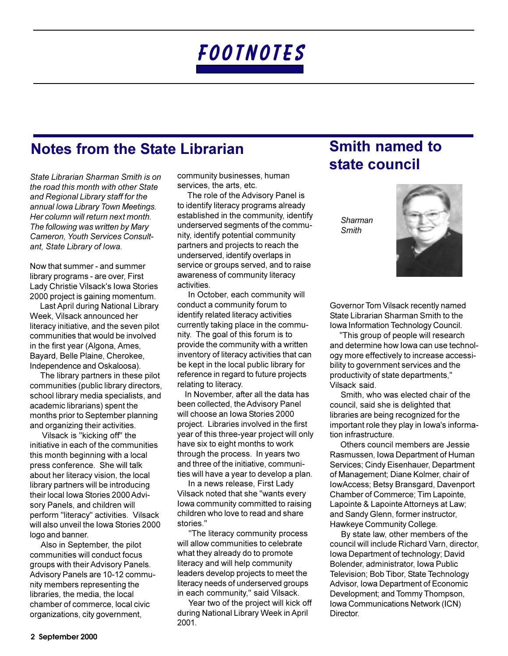## **Notes from the State Librarian**

State Librarian Sharman Smith is on the road this month with other State and Regional Library staff for the annual Iowa Library Town Meetings. Her column will return next month. The following was written by Mary Cameron, Youth Services Consultant, State Library of Iowa.

Now that summer - and summer library programs - are over, First Lady Christie Vilsack's Iowa Stories 2000 project is gaining momentum.

Last April during National Library Week, Vilsack announced her literacy initiative, and the seven pilot communities that would be involved in the first year (Algona, Ames, Bayard, Belle Plaine, Cherokee, Independence and Oskaloosa).

The library partners in these pilot communities (public library directors, school library media specialists, and academic librarians) spent the months prior to September planning and organizing their activities.

Vilsack is "kicking off" the initiative in each of the communities this month beginning with a local press conference. She will talk about her literacy vision, the local library partners will be introducing their local lowa Stories 2000 Advisory Panels, and children will perform "literacy" activities. Vilsack will also unveil the Iowa Stories 2000 logo and banner.

Also in September, the pilot communities will conduct focus groups with their Advisory Panels. Advisory Panels are 10-12 community members representing the libraries, the media, the local chamber of commerce, local civic organizations, city government,

community businesses, human services, the arts, etc.

The role of the Advisory Panel is to identify literacy programs already established in the community, identify underserved seaments of the community, identify potential community partners and projects to reach the underserved, identify overlaps in service or groups served, and to raise awareness of community literacy activities

In October, each community will conduct a community forum to identify related literacy activities currently taking place in the community. The goal of this forum is to provide the community with a written inventory of literacy activities that can be kept in the local public library for reference in regard to future projects relating to literacy.

In November, after all the data has been collected, the Advisory Panel will choose an Iowa Stories 2000 project. Libraries involved in the first year of this three-year project will only have six to eight months to work through the process. In years two and three of the initiative, communities will have a year to develop a plan.

In a news release, First Lady Vilsack noted that she "wants every lowa community committed to raising children who love to read and share stories "

"The literacy community process will allow communities to celebrate what they already do to promote literacy and will help community leaders develop projects to meet the literacy needs of underserved groups in each community," said Vilsack.

Year two of the project will kick off during National Library Week in April 2001.

## **Smith named to** state council

Sharman Smith



Governor Tom Vilsack recently named State Librarian Sharman Smith to the Iowa Information Technology Council.

"This group of people will research and determine how lowa can use technology more effectively to increase accessibility to government services and the productivity of state departments," Vilsack said.

Smith, who was elected chair of the council, said she is delighted that libraries are being recognized for the important role they play in lowa's information infrastructure.

Others council members are Jessie Rasmussen, Iowa Department of Human Services; Cindy Eisenhauer, Department of Management; Diane Kolmer, chair of IowAccess; Betsy Bransgard, Davenport Chamber of Commerce; Tim Lapointe, Lapointe & Lapointe Attorneys at Law; and Sandy Glenn, former instructor, Hawkeye Community College.

By state law, other members of the council will include Richard Varn, director, Iowa Department of technology; David Bolender, administrator, Iowa Public Television; Bob Tibor, State Technology Advisor, Iowa Department of Economic Development; and Tommy Thompson, Iowa Communications Network (ICN) Director.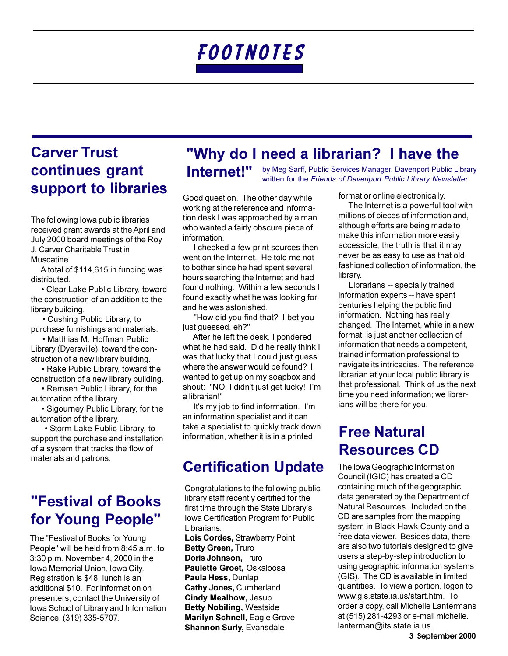## **Carver Trust** continues grant support to libraries

The following lowa public libraries received grant awards at the April and July 2000 board meetings of the Roy J. Carver Charitable Trust in Muscatine.

A total of \$114,615 in funding was distributed.

• Clear Lake Public Library, toward the construction of an addition to the library building.

• Cushing Public Library, to purchase furnishings and materials.

• Matthias M. Hoffman Public Library (Dyersville), toward the construction of a new library building.

• Rake Public Library, toward the construction of a new library building.

• Remsen Public Library, for the automation of the library.

• Sigourney Public Library, for the automation of the library.

• Storm Lake Public Library, to support the purchase and installation of a system that tracks the flow of materials and patrons.

### **"Festival of Books** for Young People"

The "Festival of Books for Young People" will be held from 8:45 a.m. to 3:30 p.m. November 4, 2000 in the Iowa Memorial Union, Iowa City. Registration is \$48; lunch is an additional \$10. For information on presenters, contact the University of Iowa School of Library and Information Science, (319) 335-5707.

## "Why do I need a librarian? I have the

Internet!" by Meg Sarff, Public Services Manager, Davenport Public Library written for the Friends of Davenport Public Library Newsletter

Good question. The other day while working at the reference and information desk I was approached by a man who wanted a fairly obscure piece of information.

I checked a few print sources then went on the Internet. He told me not to bother since he had spent several hours searching the Internet and had found nothing. Within a few seconds I found exactly what he was looking for and he was astonished.

"How did you find that? I bet you just guessed, eh?"

After he left the desk, I pondered what he had said. Did he really think I was that lucky that I could just quess where the answer would be found? I wanted to get up on my soapbox and shout: "NO, I didn't just get lucky! I'm a librarian!"

It's my job to find information. I'm an information specialist and it can take a specialist to quickly track down information, whether it is in a printed

## **Certification Update**

Congratulations to the following public library staff recently certified for the first time through the State Library's Iowa Certification Program for Public Librarians.

Lois Cordes, Strawberry Point **Betty Green, Truro** Doris Johnson, Truro Paulette Groet, Oskaloosa Paula Hess, Dunlap **Cathy Jones, Cumberland Cindy Mealhow, Jesup Betty Nobiling, Westside Marilyn Schnell, Eagle Grove Shannon Surly, Evansdale** 

format or online electronically.

The Internet is a powerful tool with millions of pieces of information and, although efforts are being made to make this information more easily accessible, the truth is that it may never be as easy to use as that old fashioned collection of information, the library.

Librarians -- specially trained information experts -- have spent centuries helping the public find information. Nothing has really changed. The Internet, while in a new format, is just another collection of information that needs a competent, trained information professional to navigate its intricacies. The reference librarian at your local public library is that professional. Think of us the next time you need information; we librarians will be there for you.

## **Free Natural Resources CD**

The Iowa Geographic Information Council (IGIC) has created a CD containing much of the geographic data generated by the Department of Natural Resources. Included on the CD are samples from the mapping system in Black Hawk County and a free data viewer. Besides data, there are also two tutorials designed to give users a step-by-step introduction to using geographic information systems (GIS). The CD is available in limited quantities. To view a portion, logon to www.gis.state.ia.us/start.htm. To order a copy, call Michelle Lantermans at (515) 281-4293 or e-mail michelle. lanterman@its.state.ia.us.

3 September 2000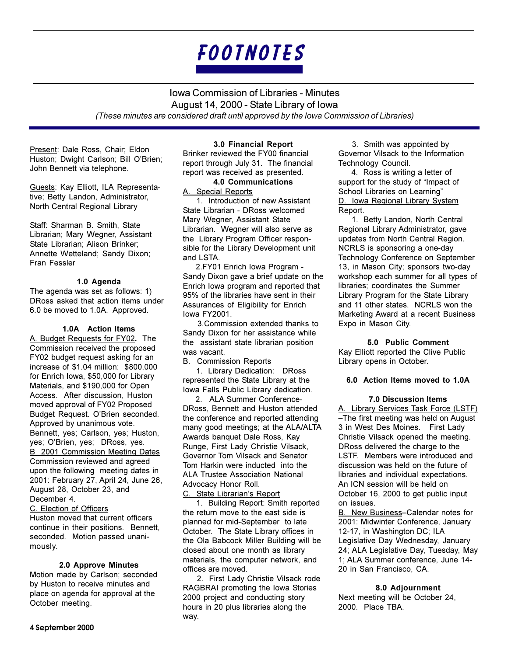**Iowa Commission of Libraries - Minutes** August 14, 2000 - State Library of Iowa (These minutes are considered draft until approved by the lowa Commission of Libraries)

Present: Dale Ross, Chair; Eldon Huston; Dwight Carlson; Bill O'Brien; John Bennett via telephone.

Guests: Kay Elliott, ILA Representative; Betty Landon, Administrator, North Central Regional Library

Staff: Sharman B. Smith. State Librarian; Mary Wegner, Assistant State Librarian; Alison Brinker; Annette Wetteland; Sandy Dixon; Fran Fessler

#### 1.0 Agenda

The agenda was set as follows: 1) DRoss asked that action items under 6.0 be moved to 1.0A. Approved.

#### 1.0A Action Items

A. Budget Requests for FY02. The Commission received the proposed FY02 budget request asking for an increase of \$1.04 million: \$800.000 for Enrich Iowa, \$50,000 for Library Materials, and \$190,000 for Open Access. After discussion, Huston moved approval of FY02 Proposed Budget Request. O'Brien seconded. Approved by unanimous vote. Bennett, yes; Carlson, yes; Huston, yes; O'Brien, yes; DRoss, yes. B 2001 Commission Meeting Dates Commission reviewed and agreed upon the following meeting dates in 2001: February 27, April 24, June 26, August 28, October 23, and December 4

C. Election of Officers

Huston moved that current officers continue in their positions. Bennett, seconded. Motion passed unanimously.

#### 2.0 Approve Minutes

Motion made by Carlson; seconded by Huston to receive minutes and place on agenda for approval at the October meeting.

#### 3.0 Financial Report

Brinker reviewed the FY00 financial report through July 31. The financial report was received as presented.

#### **4.0 Communications**

A. Special Reports

1. Introduction of new Assistant State Librarian - DRoss welcomed Mary Wegner, Assistant State Librarian. Wegner will also serve as the Library Program Officer responsible for the Library Development unit and LSTA.

2.FY01 Enrich Iowa Program -Sandy Dixon gave a brief update on the Enrich lowa program and reported that 95% of the libraries have sent in their Assurances of Eligibility for Enrich lowa FY2001.

3. Commission extended thanks to Sandy Dixon for her assistance while the assistant state librarian position was vacant.

**B.** Commission Reports

1. Library Dedication: DRoss represented the State Library at the Iowa Falls Public Library dedication.

2. ALA Summer Conference-DRoss. Bennett and Huston attended the conference and reported attending many good meetings; at the ALA/ALTA Awards banquet Dale Ross, Kay Runge, First Lady Christie Vilsack, Governor Tom Vilsack and Senator Tom Harkin were inducted into the **ALA Trustee Association National** Advocacy Honor Roll.

C. State Librarian's Report 1. Building Report: Smith reported the return move to the east side is planned for mid-September to late October. The State Library offices in the Ola Babcock Miller Building will be closed about one month as library materials, the computer network, and offices are moved.

2. First Lady Christie Vilsack rode RAGBRAI promoting the Iowa Stories 2000 project and conducting story hours in 20 plus libraries along the way.

3. Smith was appointed by Governor Vilsack to the Information Technology Council.

4. Ross is writing a letter of support for the study of "Impact of School Libraries on Learning" D. Iowa Regional Library System Report.

1. Betty Landon, North Central Regional Library Administrator, gave updates from North Central Region. NCRLS is sponsoring a one-day Technology Conference on September 13, in Mason City; sponsors two-day workshop each summer for all types of libraries; coordinates the Summer Library Program for the State Library and 11 other states. NCRLS won the Marketing Award at a recent Business Expo in Mason City.

5.0 Public Comment Kay Elliott reported the Clive Public Library opens in October.

#### 6.0 Action Items moved to 1.0A

**7.0 Discussion Items** 

A. Library Services Task Force (LSTF) -The first meeting was held on August 3 in West Des Moines. First Lady Christie Vilsack opened the meeting. DRoss delivered the charge to the LSTF. Members were introduced and discussion was held on the future of libraries and individual expectations. An ICN session will be held on October 16, 2000 to get public input on issues.

B. New Business-Calendar notes for 2001: Midwinter Conference, January 12-17. in Washington DC: ILA Legislative Day Wednesday, January 24; ALA Legislative Day, Tuesday, May 1; ALA Summer conference, June 14-20 in San Francisco, CA.

#### 8.0 Adjournment

Next meeting will be October 24, 2000. Place TBA.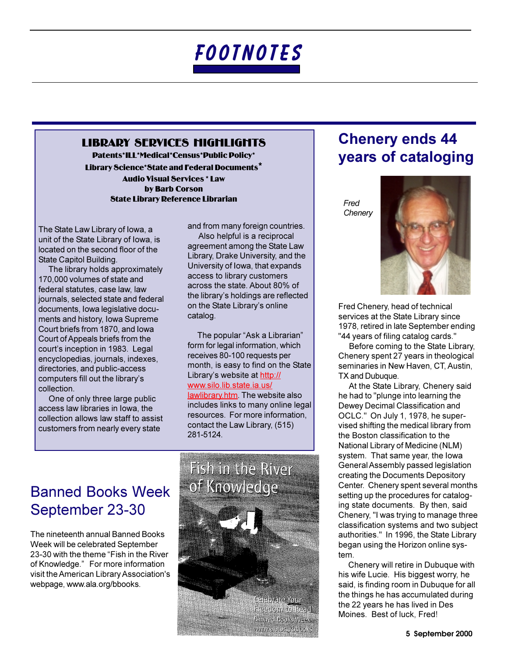#### **LIBRARY SERVICES MIGMLIGHTS**

Patents\*ILL\*Medical\*Census\*Public Policy\* Library Science\*State and Federal Documents\* **Audio Visual Services \* Law** by Barb Corson **State Library Reference Librarian** 

The State Law Library of Iowa, a unit of the State Library of Iowa, is located on the second floor of the State Capitol Building.

The library holds approximately 170,000 volumes of state and federal statutes, case law, law journals, selected state and federal documents, Iowa legislative documents and history, Iowa Supreme Court briefs from 1870, and lowa Court of Appeals briefs from the court's inception in 1983. Legal encyclopedias, journals, indexes, directories, and public-access computers fill out the library's collection.

One of only three large public access law libraries in lowa, the collection allows law staff to assist customers from nearly every state

and from many foreign countries.

Also helpful is a reciprocal agreement among the State Law Library, Drake University, and the University of Iowa, that expands access to library customers across the state. About 80% of the library's holdings are reflected on the State Library's online catalog.

The popular "Ask a Librarian" form for legal information, which receives 80-100 requests per month, is easy to find on the State Library's website at http:// www.silo.lib.state.ia.us/ lawlibrary.htm. The website also includes links to many online legal resources. For more information, contact the Law Library, (515) 281-5124.

## **Banned Books Week** September 23-30

The nineteenth annual Banned Books Week will be celebrated September 23-30 with the theme "Fish in the River of Knowledge." For more information visit the American Library Association's webpage, www.ala.org/bbooks.



## **Chenery ends 44** years of cataloging

Fred Chenery



Fred Chenery, head of technical services at the State Library since 1978, retired in late September ending "44 years of filing catalog cards."

Before coming to the State Library, Chenery spent 27 years in theological seminaries in New Haven, CT, Austin, TX and Dubuque.

At the State Library, Chenery said he had to "plunge into learning the Dewey Decimal Classification and OCLC." On July 1, 1978, he supervised shifting the medical library from the Boston classification to the National Library of Medicine (NLM) system. That same year, the lowa General Assembly passed legislation creating the Documents Depository Center. Chenery spent several months setting up the procedures for cataloging state documents. By then, said Chenery, "I was trying to manage three classification systems and two subject authorities." In 1996, the State Library began using the Horizon online system.

Chenery will retire in Dubuque with his wife Lucie. His biggest worry, he said, is finding room in Dubuque for all the things he has accumulated during the 22 years he has lived in Des Moines. Best of luck. Fred!